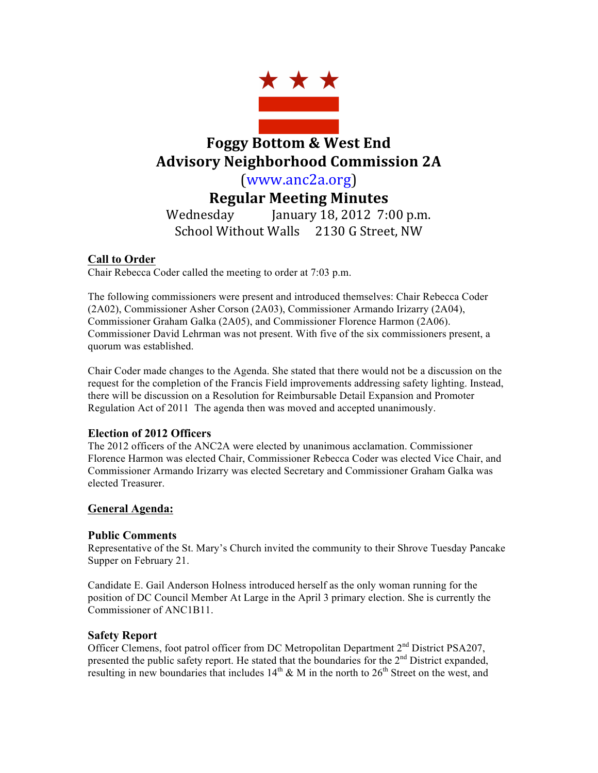

# **Foggy Bottom & West End Advisory Neighborhood Commission 2A**

(www.anc2a.org)

**Regular Meeting Minutes**

Wednesday January 18, 2012 7:00 p.m. School Without Walls 2130 G Street, NW

## **Call to Order**

Chair Rebecca Coder called the meeting to order at 7:03 p.m.

The following commissioners were present and introduced themselves: Chair Rebecca Coder (2A02), Commissioner Asher Corson (2A03), Commissioner Armando Irizarry (2A04), Commissioner Graham Galka (2A05), and Commissioner Florence Harmon (2A06). Commissioner David Lehrman was not present. With five of the six commissioners present, a quorum was established.

Chair Coder made changes to the Agenda. She stated that there would not be a discussion on the request for the completion of the Francis Field improvements addressing safety lighting. Instead, there will be discussion on a Resolution for Reimbursable Detail Expansion and Promoter Regulation Act of 2011 The agenda then was moved and accepted unanimously.

## **Election of 2012 Officers**

The 2012 officers of the ANC2A were elected by unanimous acclamation. Commissioner Florence Harmon was elected Chair, Commissioner Rebecca Coder was elected Vice Chair, and Commissioner Armando Irizarry was elected Secretary and Commissioner Graham Galka was elected Treasurer.

## **General Agenda:**

## **Public Comments**

Representative of the St. Mary's Church invited the community to their Shrove Tuesday Pancake Supper on February 21.

Candidate E. Gail Anderson Holness introduced herself as the only woman running for the position of DC Council Member At Large in the April 3 primary election. She is currently the Commissioner of ANC1B11.

## **Safety Report**

Officer Clemens, foot patrol officer from DC Metropolitan Department 2<sup>nd</sup> District PSA207, presented the public safety report. He stated that the boundaries for the 2<sup>nd</sup> District expanded, resulting in new boundaries that includes  $14<sup>th</sup>$  & M in the north to  $26<sup>th</sup>$  Street on the west, and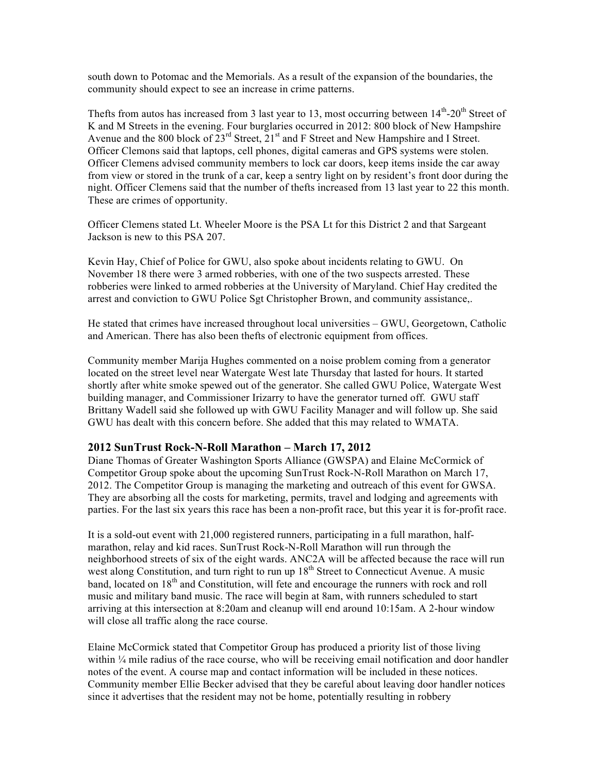south down to Potomac and the Memorials. As a result of the expansion of the boundaries, the community should expect to see an increase in crime patterns.

Thefts from autos has increased from 3 last year to 13, most occurring between  $14<sup>th</sup>$ -20<sup>th</sup> Street of K and M Streets in the evening. Four burglaries occurred in 2012: 800 block of New Hampshire Avenue and the 800 block of  $23^{\text{rd}}$  Street,  $21^{\text{st}}$  and F Street and New Hampshire and I Street. Officer Clemons said that laptops, cell phones, digital cameras and GPS systems were stolen. Officer Clemens advised community members to lock car doors, keep items inside the car away from view or stored in the trunk of a car, keep a sentry light on by resident's front door during the night. Officer Clemens said that the number of thefts increased from 13 last year to 22 this month. These are crimes of opportunity.

Officer Clemens stated Lt. Wheeler Moore is the PSA Lt for this District 2 and that Sargeant Jackson is new to this PSA 207.

Kevin Hay, Chief of Police for GWU, also spoke about incidents relating to GWU. On November 18 there were 3 armed robberies, with one of the two suspects arrested. These robberies were linked to armed robberies at the University of Maryland. Chief Hay credited the arrest and conviction to GWU Police Sgt Christopher Brown, and community assistance,.

He stated that crimes have increased throughout local universities – GWU, Georgetown, Catholic and American. There has also been thefts of electronic equipment from offices.

Community member Marija Hughes commented on a noise problem coming from a generator located on the street level near Watergate West late Thursday that lasted for hours. It started shortly after white smoke spewed out of the generator. She called GWU Police, Watergate West building manager, and Commissioner Irizarry to have the generator turned off. GWU staff Brittany Wadell said she followed up with GWU Facility Manager and will follow up. She said GWU has dealt with this concern before. She added that this may related to WMATA.

#### **2012 SunTrust Rock-N-Roll Marathon – March 17, 2012**

Diane Thomas of Greater Washington Sports Alliance (GWSPA) and Elaine McCormick of Competitor Group spoke about the upcoming SunTrust Rock-N-Roll Marathon on March 17, 2012. The Competitor Group is managing the marketing and outreach of this event for GWSA. They are absorbing all the costs for marketing, permits, travel and lodging and agreements with parties. For the last six years this race has been a non-profit race, but this year it is for-profit race.

It is a sold-out event with 21,000 registered runners, participating in a full marathon, halfmarathon, relay and kid races. SunTrust Rock-N-Roll Marathon will run through the neighborhood streets of six of the eight wards. ANC2A will be affected because the race will run west along Constitution, and turn right to run up 18<sup>th</sup> Street to Connecticut Avenue. A music band, located on  $18<sup>th</sup>$  and Constitution, will fete and encourage the runners with rock and roll music and military band music. The race will begin at 8am, with runners scheduled to start arriving at this intersection at 8:20am and cleanup will end around 10:15am. A 2-hour window will close all traffic along the race course.

Elaine McCormick stated that Competitor Group has produced a priority list of those living within ¼ mile radius of the race course, who will be receiving email notification and door handler notes of the event. A course map and contact information will be included in these notices. Community member Ellie Becker advised that they be careful about leaving door handler notices since it advertises that the resident may not be home, potentially resulting in robbery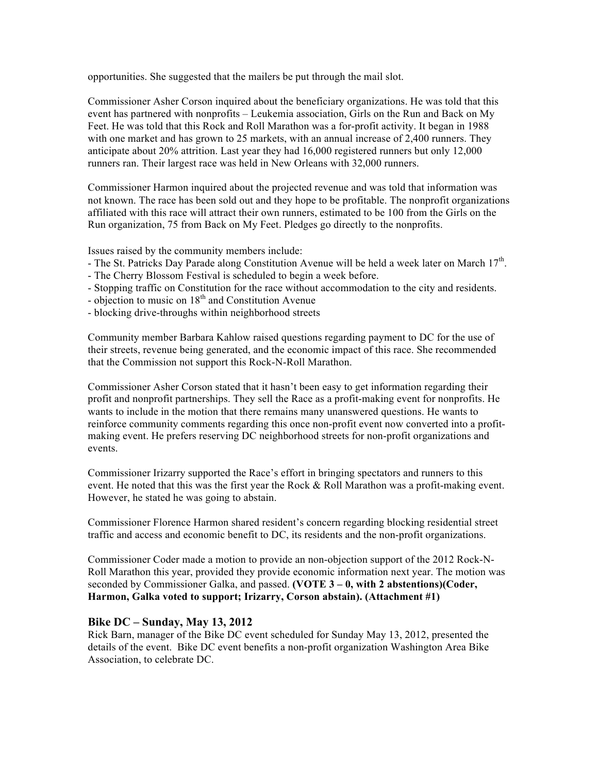opportunities. She suggested that the mailers be put through the mail slot.

Commissioner Asher Corson inquired about the beneficiary organizations. He was told that this event has partnered with nonprofits – Leukemia association, Girls on the Run and Back on My Feet. He was told that this Rock and Roll Marathon was a for-profit activity. It began in 1988 with one market and has grown to 25 markets, with an annual increase of 2,400 runners. They anticipate about 20% attrition. Last year they had 16,000 registered runners but only 12,000 runners ran. Their largest race was held in New Orleans with 32,000 runners.

Commissioner Harmon inquired about the projected revenue and was told that information was not known. The race has been sold out and they hope to be profitable. The nonprofit organizations affiliated with this race will attract their own runners, estimated to be 100 from the Girls on the Run organization, 75 from Back on My Feet. Pledges go directly to the nonprofits.

Issues raised by the community members include:

- The St. Patricks Day Parade along Constitution Avenue will be held a week later on March 17<sup>th</sup>.
- The Cherry Blossom Festival is scheduled to begin a week before.
- Stopping traffic on Constitution for the race without accommodation to the city and residents.
- objection to music on  $18<sup>th</sup>$  and Constitution Avenue
- blocking drive-throughs within neighborhood streets

Community member Barbara Kahlow raised questions regarding payment to DC for the use of their streets, revenue being generated, and the economic impact of this race. She recommended that the Commission not support this Rock-N-Roll Marathon.

Commissioner Asher Corson stated that it hasn't been easy to get information regarding their profit and nonprofit partnerships. They sell the Race as a profit-making event for nonprofits. He wants to include in the motion that there remains many unanswered questions. He wants to reinforce community comments regarding this once non-profit event now converted into a profitmaking event. He prefers reserving DC neighborhood streets for non-profit organizations and events.

Commissioner Irizarry supported the Race's effort in bringing spectators and runners to this event. He noted that this was the first year the Rock & Roll Marathon was a profit-making event. However, he stated he was going to abstain.

Commissioner Florence Harmon shared resident's concern regarding blocking residential street traffic and access and economic benefit to DC, its residents and the non-profit organizations.

Commissioner Coder made a motion to provide an non-objection support of the 2012 Rock-N-Roll Marathon this year, provided they provide economic information next year. The motion was seconded by Commissioner Galka, and passed. **(VOTE 3 – 0, with 2 abstentions)(Coder, Harmon, Galka voted to support; Irizarry, Corson abstain). (Attachment #1)**

#### **Bike DC – Sunday, May 13, 2012**

Rick Barn, manager of the Bike DC event scheduled for Sunday May 13, 2012, presented the details of the event. Bike DC event benefits a non-profit organization Washington Area Bike Association, to celebrate DC.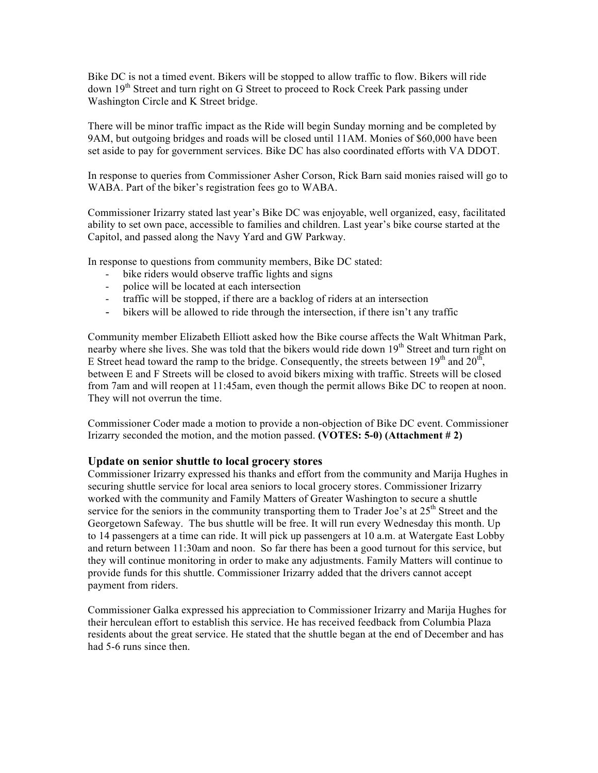Bike DC is not a timed event. Bikers will be stopped to allow traffic to flow. Bikers will ride down 19<sup>th</sup> Street and turn right on G Street to proceed to Rock Creek Park passing under Washington Circle and K Street bridge.

There will be minor traffic impact as the Ride will begin Sunday morning and be completed by 9AM, but outgoing bridges and roads will be closed until 11AM. Monies of \$60,000 have been set aside to pay for government services. Bike DC has also coordinated efforts with VA DDOT.

In response to queries from Commissioner Asher Corson, Rick Barn said monies raised will go to WABA. Part of the biker's registration fees go to WABA.

Commissioner Irizarry stated last year's Bike DC was enjoyable, well organized, easy, facilitated ability to set own pace, accessible to families and children. Last year's bike course started at the Capitol, and passed along the Navy Yard and GW Parkway.

In response to questions from community members, Bike DC stated:

- bike riders would observe traffic lights and signs
- police will be located at each intersection
- traffic will be stopped, if there are a backlog of riders at an intersection
- bikers will be allowed to ride through the intersection, if there isn't any traffic

Community member Elizabeth Elliott asked how the Bike course affects the Walt Whitman Park, nearby where she lives. She was told that the bikers would ride down 19<sup>th</sup> Street and turn right on E Street head toward the ramp to the bridge. Consequently, the streets between  $19<sup>th</sup>$  and  $20<sup>th</sup>$ , between E and F Streets will be closed to avoid bikers mixing with traffic. Streets will be closed from 7am and will reopen at 11:45am, even though the permit allows Bike DC to reopen at noon. They will not overrun the time.

Commissioner Coder made a motion to provide a non-objection of Bike DC event. Commissioner Irizarry seconded the motion, and the motion passed. **(VOTES: 5-0) (Attachment # 2)**

#### **Update on senior shuttle to local grocery stores**

Commissioner Irizarry expressed his thanks and effort from the community and Marija Hughes in securing shuttle service for local area seniors to local grocery stores. Commissioner Irizarry worked with the community and Family Matters of Greater Washington to secure a shuttle service for the seniors in the community transporting them to Trader Joe's at 25<sup>th</sup> Street and the Georgetown Safeway. The bus shuttle will be free. It will run every Wednesday this month. Up to 14 passengers at a time can ride. It will pick up passengers at 10 a.m. at Watergate East Lobby and return between 11:30am and noon. So far there has been a good turnout for this service, but they will continue monitoring in order to make any adjustments. Family Matters will continue to provide funds for this shuttle. Commissioner Irizarry added that the drivers cannot accept payment from riders.

Commissioner Galka expressed his appreciation to Commissioner Irizarry and Marija Hughes for their herculean effort to establish this service. He has received feedback from Columbia Plaza residents about the great service. He stated that the shuttle began at the end of December and has had 5-6 runs since then.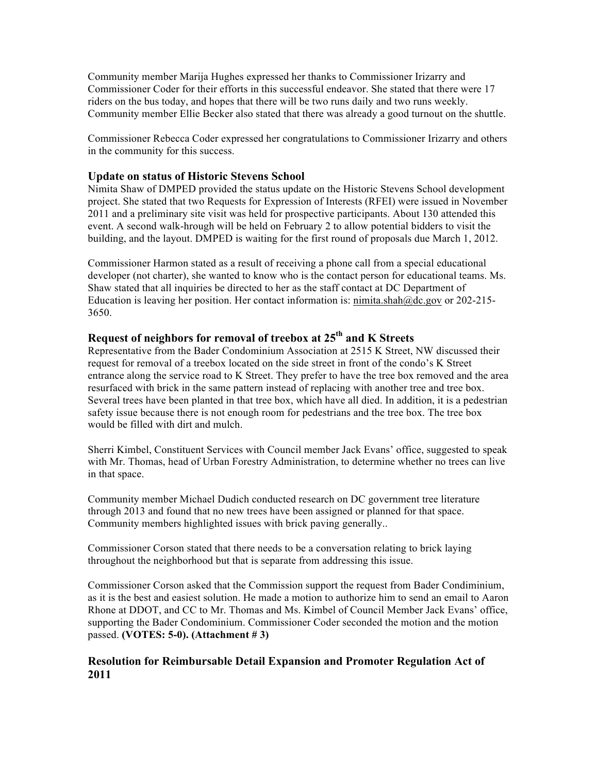Community member Marija Hughes expressed her thanks to Commissioner Irizarry and Commissioner Coder for their efforts in this successful endeavor. She stated that there were 17 riders on the bus today, and hopes that there will be two runs daily and two runs weekly. Community member Ellie Becker also stated that there was already a good turnout on the shuttle.

Commissioner Rebecca Coder expressed her congratulations to Commissioner Irizarry and others in the community for this success.

#### **Update on status of Historic Stevens School**

Nimita Shaw of DMPED provided the status update on the Historic Stevens School development project. She stated that two Requests for Expression of Interests (RFEI) were issued in November 2011 and a preliminary site visit was held for prospective participants. About 130 attended this event. A second walk-hrough will be held on February 2 to allow potential bidders to visit the building, and the layout. DMPED is waiting for the first round of proposals due March 1, 2012.

Commissioner Harmon stated as a result of receiving a phone call from a special educational developer (not charter), she wanted to know who is the contact person for educational teams. Ms. Shaw stated that all inquiries be directed to her as the staff contact at DC Department of Education is leaving her position. Her contact information is: nimita.shah@dc.gov or 202-215-3650.

### **Request of neighbors for removal of treebox at 25th and K Streets**

Representative from the Bader Condominium Association at 2515 K Street, NW discussed their request for removal of a treebox located on the side street in front of the condo's K Street entrance along the service road to K Street. They prefer to have the tree box removed and the area resurfaced with brick in the same pattern instead of replacing with another tree and tree box. Several trees have been planted in that tree box, which have all died. In addition, it is a pedestrian safety issue because there is not enough room for pedestrians and the tree box. The tree box would be filled with dirt and mulch.

Sherri Kimbel, Constituent Services with Council member Jack Evans' office, suggested to speak with Mr. Thomas, head of Urban Forestry Administration, to determine whether no trees can live in that space.

Community member Michael Dudich conducted research on DC government tree literature through 2013 and found that no new trees have been assigned or planned for that space. Community members highlighted issues with brick paving generally..

Commissioner Corson stated that there needs to be a conversation relating to brick laying throughout the neighborhood but that is separate from addressing this issue.

Commissioner Corson asked that the Commission support the request from Bader Condiminium, as it is the best and easiest solution. He made a motion to authorize him to send an email to Aaron Rhone at DDOT, and CC to Mr. Thomas and Ms. Kimbel of Council Member Jack Evans' office, supporting the Bader Condominium. Commissioner Coder seconded the motion and the motion passed. **(VOTES: 5-0). (Attachment # 3)**

### **Resolution for Reimbursable Detail Expansion and Promoter Regulation Act of 2011**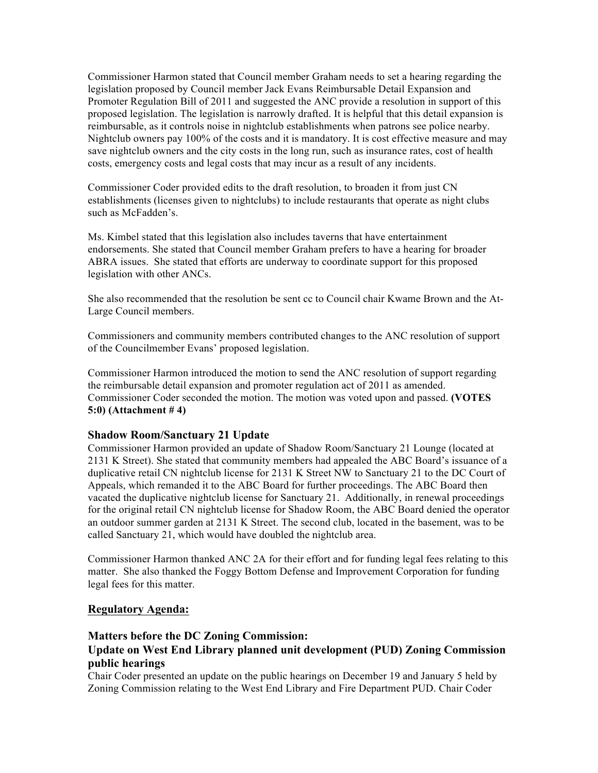Commissioner Harmon stated that Council member Graham needs to set a hearing regarding the legislation proposed by Council member Jack Evans Reimbursable Detail Expansion and Promoter Regulation Bill of 2011 and suggested the ANC provide a resolution in support of this proposed legislation. The legislation is narrowly drafted. It is helpful that this detail expansion is reimbursable, as it controls noise in nightclub establishments when patrons see police nearby. Nightclub owners pay 100% of the costs and it is mandatory. It is cost effective measure and may save nightclub owners and the city costs in the long run, such as insurance rates, cost of health costs, emergency costs and legal costs that may incur as a result of any incidents.

Commissioner Coder provided edits to the draft resolution, to broaden it from just CN establishments (licenses given to nightclubs) to include restaurants that operate as night clubs such as McFadden's.

Ms. Kimbel stated that this legislation also includes taverns that have entertainment endorsements. She stated that Council member Graham prefers to have a hearing for broader ABRA issues. She stated that efforts are underway to coordinate support for this proposed legislation with other ANCs.

She also recommended that the resolution be sent cc to Council chair Kwame Brown and the At-Large Council members.

Commissioners and community members contributed changes to the ANC resolution of support of the Councilmember Evans' proposed legislation.

Commissioner Harmon introduced the motion to send the ANC resolution of support regarding the reimbursable detail expansion and promoter regulation act of 2011 as amended. Commissioner Coder seconded the motion. The motion was voted upon and passed. **(VOTES 5:0) (Attachment # 4)**

#### **Shadow Room/Sanctuary 21 Update**

Commissioner Harmon provided an update of Shadow Room/Sanctuary 21 Lounge (located at 2131 K Street). She stated that community members had appealed the ABC Board's issuance of a duplicative retail CN nightclub license for 2131 K Street NW to Sanctuary 21 to the DC Court of Appeals, which remanded it to the ABC Board for further proceedings. The ABC Board then vacated the duplicative nightclub license for Sanctuary 21. Additionally, in renewal proceedings for the original retail CN nightclub license for Shadow Room, the ABC Board denied the operator an outdoor summer garden at 2131 K Street. The second club, located in the basement, was to be called Sanctuary 21, which would have doubled the nightclub area.

Commissioner Harmon thanked ANC 2A for their effort and for funding legal fees relating to this matter. She also thanked the Foggy Bottom Defense and Improvement Corporation for funding legal fees for this matter.

#### **Regulatory Agenda:**

#### **Matters before the DC Zoning Commission:**

### **Update on West End Library planned unit development (PUD) Zoning Commission public hearings**

Chair Coder presented an update on the public hearings on December 19 and January 5 held by Zoning Commission relating to the West End Library and Fire Department PUD. Chair Coder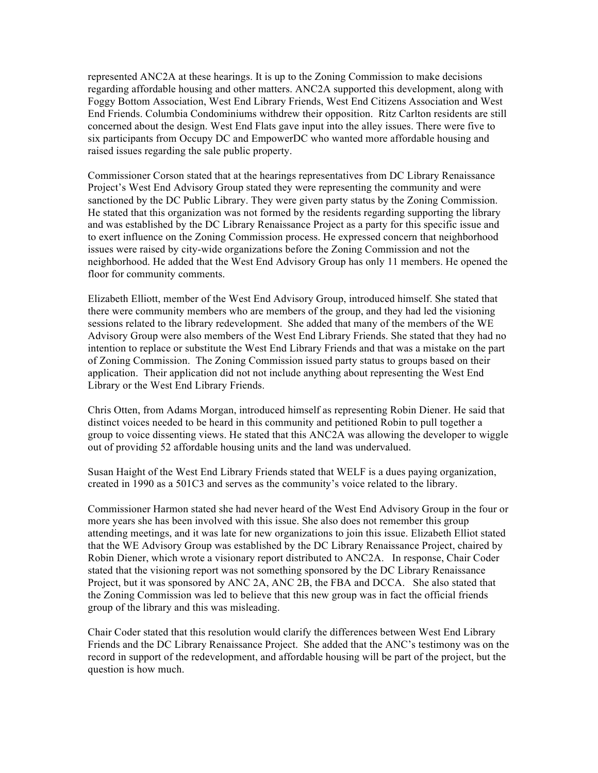represented ANC2A at these hearings. It is up to the Zoning Commission to make decisions regarding affordable housing and other matters. ANC2A supported this development, along with Foggy Bottom Association, West End Library Friends, West End Citizens Association and West End Friends. Columbia Condominiums withdrew their opposition. Ritz Carlton residents are still concerned about the design. West End Flats gave input into the alley issues. There were five to six participants from Occupy DC and EmpowerDC who wanted more affordable housing and raised issues regarding the sale public property.

Commissioner Corson stated that at the hearings representatives from DC Library Renaissance Project's West End Advisory Group stated they were representing the community and were sanctioned by the DC Public Library. They were given party status by the Zoning Commission. He stated that this organization was not formed by the residents regarding supporting the library and was established by the DC Library Renaissance Project as a party for this specific issue and to exert influence on the Zoning Commission process. He expressed concern that neighborhood issues were raised by city-wide organizations before the Zoning Commission and not the neighborhood. He added that the West End Advisory Group has only 11 members. He opened the floor for community comments.

Elizabeth Elliott, member of the West End Advisory Group, introduced himself. She stated that there were community members who are members of the group, and they had led the visioning sessions related to the library redevelopment. She added that many of the members of the WE Advisory Group were also members of the West End Library Friends. She stated that they had no intention to replace or substitute the West End Library Friends and that was a mistake on the part of Zoning Commission. The Zoning Commission issued party status to groups based on their application. Their application did not not include anything about representing the West End Library or the West End Library Friends.

Chris Otten, from Adams Morgan, introduced himself as representing Robin Diener. He said that distinct voices needed to be heard in this community and petitioned Robin to pull together a group to voice dissenting views. He stated that this ANC2A was allowing the developer to wiggle out of providing 52 affordable housing units and the land was undervalued.

Susan Haight of the West End Library Friends stated that WELF is a dues paying organization, created in 1990 as a 501C3 and serves as the community's voice related to the library.

Commissioner Harmon stated she had never heard of the West End Advisory Group in the four or more years she has been involved with this issue. She also does not remember this group attending meetings, and it was late for new organizations to join this issue. Elizabeth Elliot stated that the WE Advisory Group was established by the DC Library Renaissance Project, chaired by Robin Diener, which wrote a visionary report distributed to ANC2A. In response, Chair Coder stated that the visioning report was not something sponsored by the DC Library Renaissance Project, but it was sponsored by ANC 2A, ANC 2B, the FBA and DCCA. She also stated that the Zoning Commission was led to believe that this new group was in fact the official friends group of the library and this was misleading.

Chair Coder stated that this resolution would clarify the differences between West End Library Friends and the DC Library Renaissance Project. She added that the ANC's testimony was on the record in support of the redevelopment, and affordable housing will be part of the project, but the question is how much.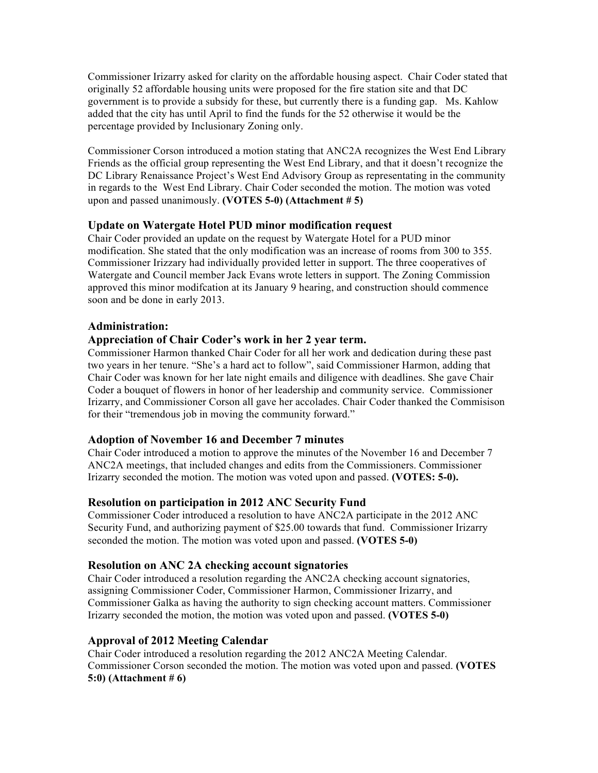Commissioner Irizarry asked for clarity on the affordable housing aspect. Chair Coder stated that originally 52 affordable housing units were proposed for the fire station site and that DC government is to provide a subsidy for these, but currently there is a funding gap. Ms. Kahlow added that the city has until April to find the funds for the 52 otherwise it would be the percentage provided by Inclusionary Zoning only.

Commissioner Corson introduced a motion stating that ANC2A recognizes the West End Library Friends as the official group representing the West End Library, and that it doesn't recognize the DC Library Renaissance Project's West End Advisory Group as representating in the community in regards to the West End Library. Chair Coder seconded the motion. The motion was voted upon and passed unanimously. **(VOTES 5-0) (Attachment # 5)**

### **Update on Watergate Hotel PUD minor modification request**

Chair Coder provided an update on the request by Watergate Hotel for a PUD minor modification. She stated that the only modification was an increase of rooms from 300 to 355. Commissioner Irizzary had individually provided letter in support. The three cooperatives of Watergate and Council member Jack Evans wrote letters in support. The Zoning Commission approved this minor modifcation at its January 9 hearing, and construction should commence soon and be done in early 2013.

#### **Administration:**

### **Appreciation of Chair Coder's work in her 2 year term.**

Commissioner Harmon thanked Chair Coder for all her work and dedication during these past two years in her tenure. "She's a hard act to follow", said Commissioner Harmon, adding that Chair Coder was known for her late night emails and diligence with deadlines. She gave Chair Coder a bouquet of flowers in honor of her leadership and community service. Commissioner Irizarry, and Commissioner Corson all gave her accolades. Chair Coder thanked the Commisison for their "tremendous job in moving the community forward."

### **Adoption of November 16 and December 7 minutes**

Chair Coder introduced a motion to approve the minutes of the November 16 and December 7 ANC2A meetings, that included changes and edits from the Commissioners. Commissioner Irizarry seconded the motion. The motion was voted upon and passed. **(VOTES: 5-0).** 

### **Resolution on participation in 2012 ANC Security Fund**

Commissioner Coder introduced a resolution to have ANC2A participate in the 2012 ANC Security Fund, and authorizing payment of \$25.00 towards that fund. Commissioner Irizarry seconded the motion. The motion was voted upon and passed. **(VOTES 5-0)** 

#### **Resolution on ANC 2A checking account signatories**

Chair Coder introduced a resolution regarding the ANC2A checking account signatories, assigning Commissioner Coder, Commissioner Harmon, Commissioner Irizarry, and Commissioner Galka as having the authority to sign checking account matters. Commissioner Irizarry seconded the motion, the motion was voted upon and passed. **(VOTES 5-0)** 

### **Approval of 2012 Meeting Calendar**

Chair Coder introduced a resolution regarding the 2012 ANC2A Meeting Calendar. Commissioner Corson seconded the motion. The motion was voted upon and passed. **(VOTES 5:0) (Attachment # 6)**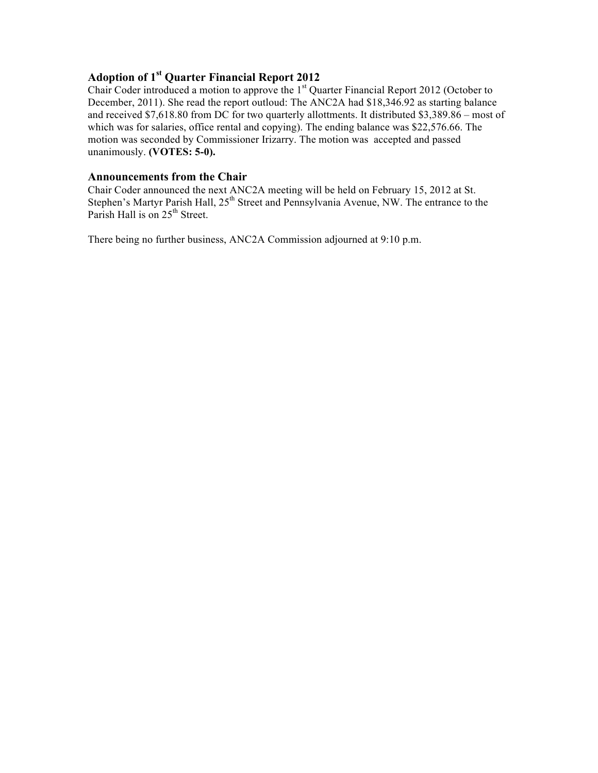## **Adoption of 1st Quarter Financial Report 2012**

Chair Coder introduced a motion to approve the 1<sup>st</sup> Quarter Financial Report 2012 (October to December, 2011). She read the report outloud: The ANC2A had \$18,346.92 as starting balance and received \$7,618.80 from DC for two quarterly allottments. It distributed \$3,389.86 – most of which was for salaries, office rental and copying). The ending balance was \$22,576.66. The motion was seconded by Commissioner Irizarry. The motion was accepted and passed unanimously. **(VOTES: 5-0).** 

### **Announcements from the Chair**

Chair Coder announced the next ANC2A meeting will be held on February 15, 2012 at St. Stephen's Martyr Parish Hall, 25<sup>th</sup> Street and Pennsylvania Avenue, NW. The entrance to the Parish Hall is on  $25<sup>th</sup>$  Street.

There being no further business, ANC2A Commission adjourned at 9:10 p.m.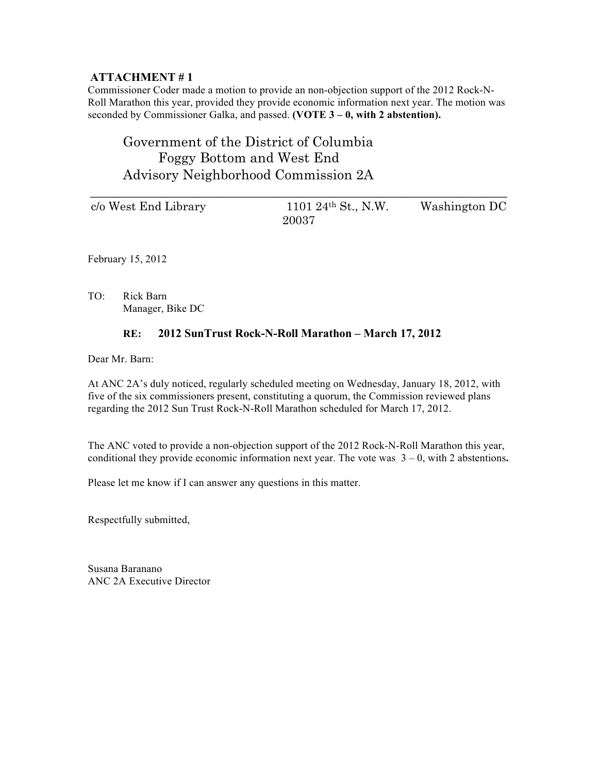Commissioner Coder made a motion to provide an non-objection support of the 2012 Rock-N-Roll Marathon this year, provided they provide economic information next year. The motion was seconded by Commissioner Galka, and passed. **(VOTE 3 – 0, with 2 abstention).** 

## Government of the District of Columbia Foggy Bottom and West End Advisory Neighborhood Commission 2A

| c/o West End Library | 1101 $24^{th}$ St., N.W. | Washington DC |
|----------------------|--------------------------|---------------|
|                      | 20037                    |               |

\_\_\_\_\_\_\_\_\_\_\_\_\_\_\_\_\_\_\_\_\_\_\_\_\_\_\_\_\_\_\_\_\_\_\_\_\_\_\_\_\_\_\_\_\_\_\_\_\_\_\_\_\_\_\_\_\_\_\_\_\_

February 15, 2012

TO: Rick Barn Manager, Bike DC

### **RE: 2012 SunTrust Rock-N-Roll Marathon – March 17, 2012**

Dear Mr. Barn:

At ANC 2A's duly noticed, regularly scheduled meeting on Wednesday, January 18, 2012, with five of the six commissioners present, constituting a quorum, the Commission reviewed plans regarding the 2012 Sun Trust Rock-N-Roll Marathon scheduled for March 17, 2012.

The ANC voted to provide a non-objection support of the 2012 Rock-N-Roll Marathon this year, conditional they provide economic information next year. The vote was  $3 - 0$ , with 2 abstentions.

Please let me know if I can answer any questions in this matter.

Respectfully submitted,

Susana Baranano ANC 2A Executive Director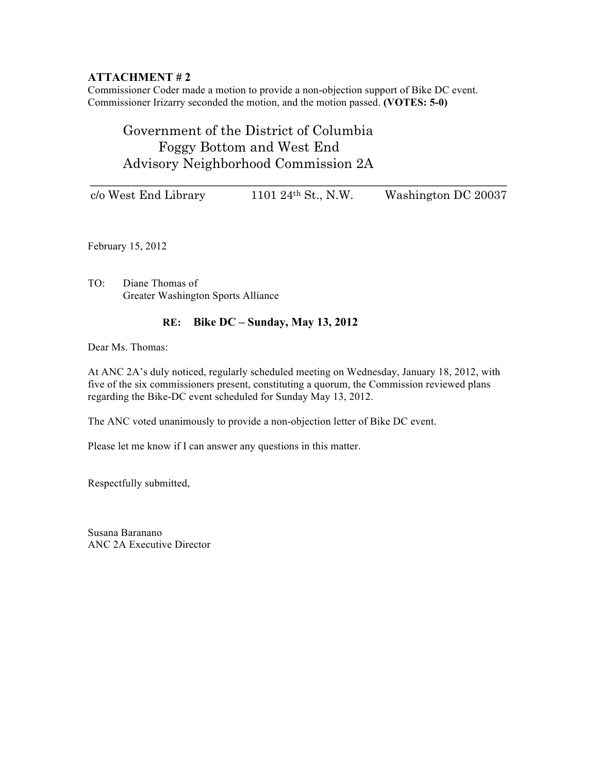Commissioner Coder made a motion to provide a non-objection support of Bike DC event. Commissioner Irizarry seconded the motion, and the motion passed. **(VOTES: 5-0)** 

## Government of the District of Columbia Foggy Bottom and West End Advisory Neighborhood Commission 2A

| c/o West End Library | 1101 24 <sup>th</sup> St., N.W. | Washington DC 20037 |
|----------------------|---------------------------------|---------------------|

February 15, 2012

TO: Diane Thomas of Greater Washington Sports Alliance

### **RE: Bike DC – Sunday, May 13, 2012**

Dear Ms. Thomas:

At ANC 2A's duly noticed, regularly scheduled meeting on Wednesday, January 18, 2012, with five of the six commissioners present, constituting a quorum, the Commission reviewed plans regarding the Bike-DC event scheduled for Sunday May 13, 2012.

The ANC voted unanimously to provide a non-objection letter of Bike DC event.

Please let me know if I can answer any questions in this matter.

Respectfully submitted,

Susana Baranano ANC 2A Executive Director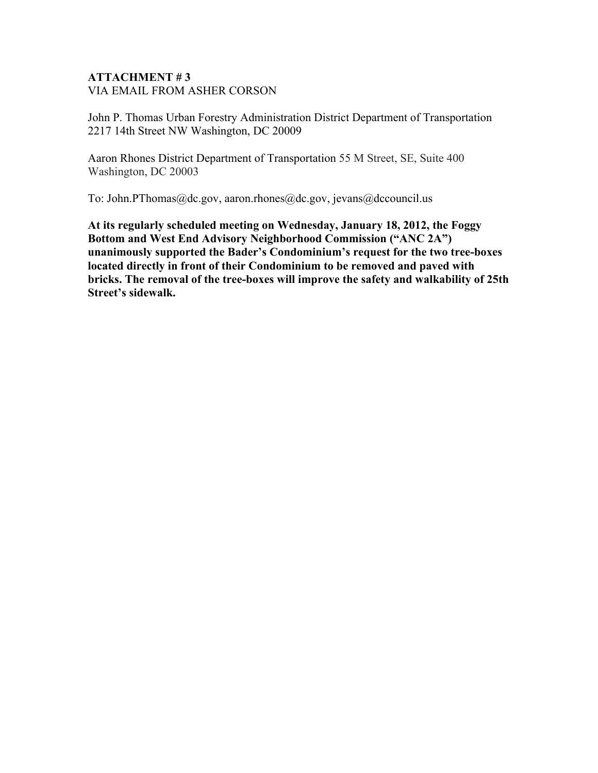## **ATTACHMENT # 3** VIA EMAIL FROM ASHER CORSON

John P. Thomas Urban Forestry Administration District Department of Transportation 2217 14th Street NW Washington, DC 20009

Aaron Rhones District Department of Transportation 55 M Street, SE, Suite 400 Washington, DC 20003

To: John.PThomas@dc.gov, aaron.rhones@dc.gov, jevans@dccouncil.us

**At its regularly scheduled meeting on Wednesday, January 18, 2012, the Foggy Bottom and West End Advisory Neighborhood Commission ("ANC 2A") unanimously supported the Bader's Condominium's request for the two tree-boxes located directly in front of their Condominium to be removed and paved with bricks. The removal of the tree-boxes will improve the safety and walkability of 25th Street's sidewalk.**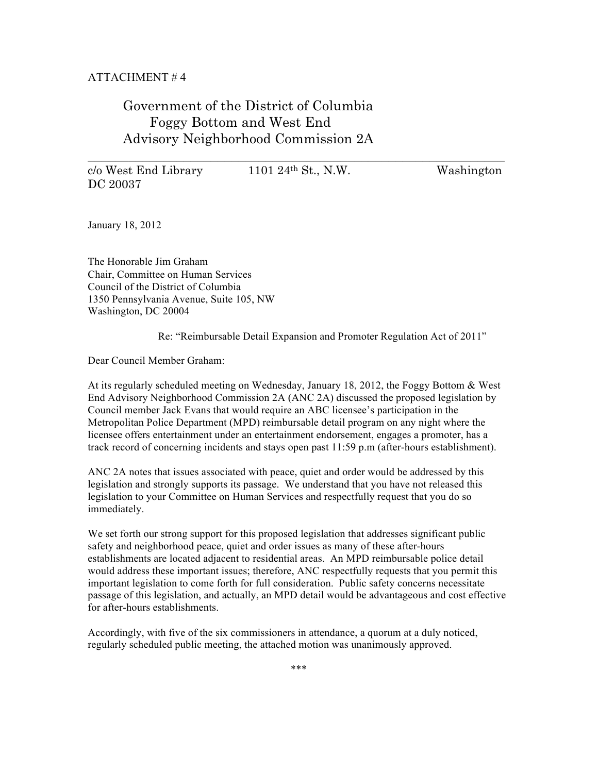## Government of the District of Columbia Foggy Bottom and West End Advisory Neighborhood Commission 2A

DC 20037

 $c/\sigma$  West End Library 1101 24<sup>th</sup> St., N.W. Washington

\_\_\_\_\_\_\_\_\_\_\_\_\_\_\_\_\_\_\_\_\_\_\_\_\_\_\_\_\_\_\_\_\_\_\_\_\_\_\_\_\_\_\_\_\_\_\_\_\_\_\_\_\_\_\_\_\_\_\_\_\_

January 18, 2012

The Honorable Jim Graham Chair, Committee on Human Services Council of the District of Columbia 1350 Pennsylvania Avenue, Suite 105, NW Washington, DC 20004

Re: "Reimbursable Detail Expansion and Promoter Regulation Act of 2011"

Dear Council Member Graham:

At its regularly scheduled meeting on Wednesday, January 18, 2012, the Foggy Bottom & West End Advisory Neighborhood Commission 2A (ANC 2A) discussed the proposed legislation by Council member Jack Evans that would require an ABC licensee's participation in the Metropolitan Police Department (MPD) reimbursable detail program on any night where the licensee offers entertainment under an entertainment endorsement, engages a promoter, has a track record of concerning incidents and stays open past 11:59 p.m (after-hours establishment).

ANC 2A notes that issues associated with peace, quiet and order would be addressed by this legislation and strongly supports its passage. We understand that you have not released this legislation to your Committee on Human Services and respectfully request that you do so immediately.

We set forth our strong support for this proposed legislation that addresses significant public safety and neighborhood peace, quiet and order issues as many of these after-hours establishments are located adjacent to residential areas. An MPD reimbursable police detail would address these important issues; therefore, ANC respectfully requests that you permit this important legislation to come forth for full consideration. Public safety concerns necessitate passage of this legislation, and actually, an MPD detail would be advantageous and cost effective for after-hours establishments.

Accordingly, with five of the six commissioners in attendance, a quorum at a duly noticed, regularly scheduled public meeting, the attached motion was unanimously approved.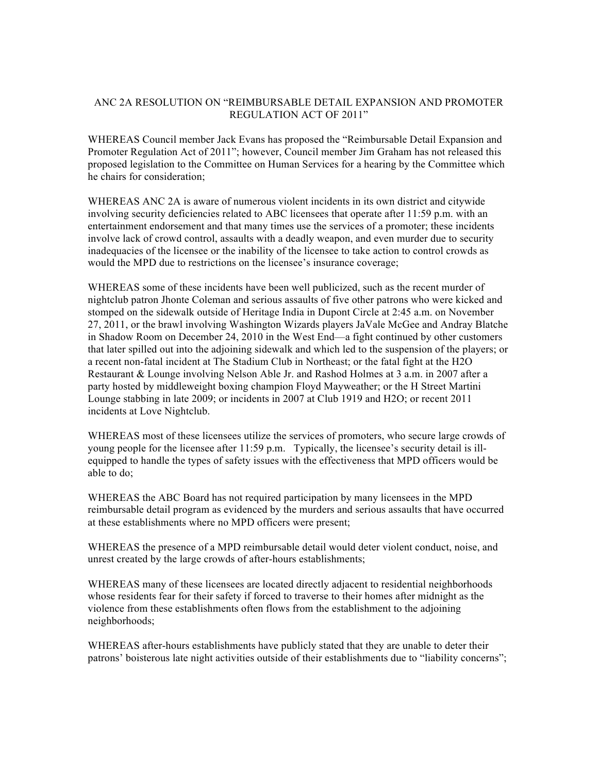#### ANC 2A RESOLUTION ON "REIMBURSABLE DETAIL EXPANSION AND PROMOTER REGULATION ACT OF 2011"

WHEREAS Council member Jack Evans has proposed the "Reimbursable Detail Expansion and Promoter Regulation Act of 2011"; however, Council member Jim Graham has not released this proposed legislation to the Committee on Human Services for a hearing by the Committee which he chairs for consideration;

WHEREAS ANC 2A is aware of numerous violent incidents in its own district and citywide involving security deficiencies related to ABC licensees that operate after 11:59 p.m. with an entertainment endorsement and that many times use the services of a promoter; these incidents involve lack of crowd control, assaults with a deadly weapon, and even murder due to security inadequacies of the licensee or the inability of the licensee to take action to control crowds as would the MPD due to restrictions on the licensee's insurance coverage;

WHEREAS some of these incidents have been well publicized, such as the recent murder of nightclub patron Jhonte Coleman and serious assaults of five other patrons who were kicked and stomped on the sidewalk outside of Heritage India in Dupont Circle at 2:45 a.m. on November 27, 2011, or the brawl involving Washington Wizards players JaVale McGee and Andray Blatche in Shadow Room on December 24, 2010 in the West End—a fight continued by other customers that later spilled out into the adjoining sidewalk and which led to the suspension of the players; or a recent non-fatal incident at The Stadium Club in Northeast; or the fatal fight at the H2O Restaurant & Lounge involving Nelson Able Jr. and Rashod Holmes at 3 a.m. in 2007 after a party hosted by middleweight boxing champion Floyd Mayweather; or the H Street Martini Lounge stabbing in late 2009; or incidents in 2007 at Club 1919 and H2O; or recent 2011 incidents at Love Nightclub.

WHEREAS most of these licensees utilize the services of promoters, who secure large crowds of young people for the licensee after 11:59 p.m. Typically, the licensee's security detail is illequipped to handle the types of safety issues with the effectiveness that MPD officers would be able to do;

WHEREAS the ABC Board has not required participation by many licensees in the MPD reimbursable detail program as evidenced by the murders and serious assaults that have occurred at these establishments where no MPD officers were present;

WHEREAS the presence of a MPD reimbursable detail would deter violent conduct, noise, and unrest created by the large crowds of after-hours establishments;

WHEREAS many of these licensees are located directly adjacent to residential neighborhoods whose residents fear for their safety if forced to traverse to their homes after midnight as the violence from these establishments often flows from the establishment to the adjoining neighborhoods;

WHEREAS after-hours establishments have publicly stated that they are unable to deter their patrons' boisterous late night activities outside of their establishments due to "liability concerns";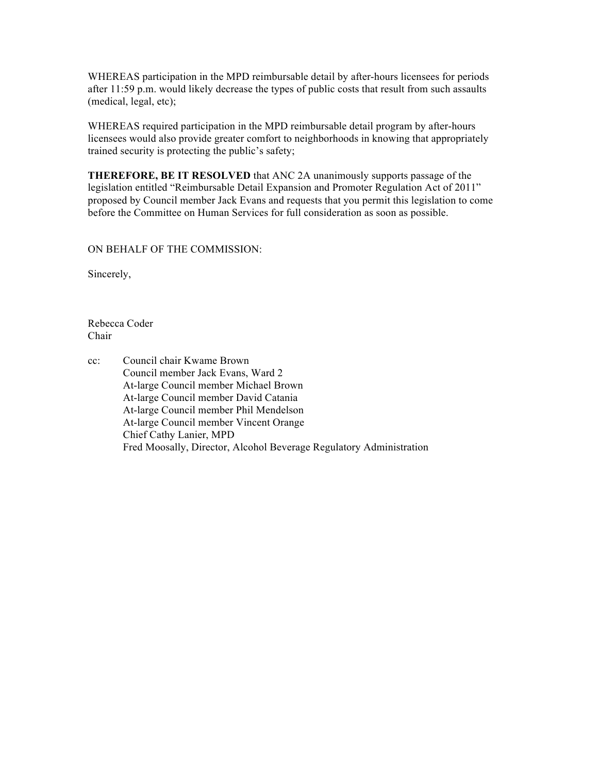WHEREAS participation in the MPD reimbursable detail by after-hours licensees for periods after 11:59 p.m. would likely decrease the types of public costs that result from such assaults (medical, legal, etc);

WHEREAS required participation in the MPD reimbursable detail program by after-hours licensees would also provide greater comfort to neighborhoods in knowing that appropriately trained security is protecting the public's safety;

**THEREFORE, BE IT RESOLVED** that ANC 2A unanimously supports passage of the legislation entitled "Reimbursable Detail Expansion and Promoter Regulation Act of 2011" proposed by Council member Jack Evans and requests that you permit this legislation to come before the Committee on Human Services for full consideration as soon as possible.

ON BEHALF OF THE COMMISSION:

Sincerely,

Rebecca Coder Chair

cc: Council chair Kwame Brown Council member Jack Evans, Ward 2 At-large Council member Michael Brown At-large Council member David Catania At-large Council member Phil Mendelson At-large Council member Vincent Orange Chief Cathy Lanier, MPD Fred Moosally, Director, Alcohol Beverage Regulatory Administration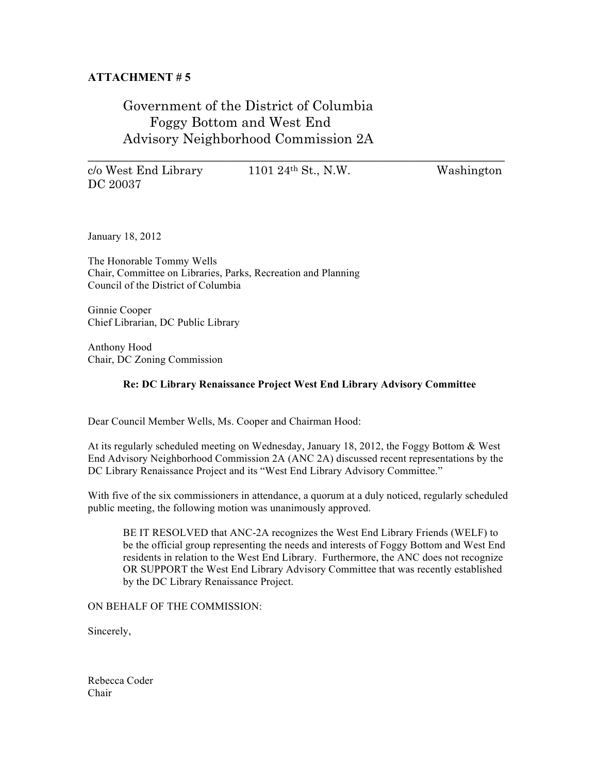## Government of the District of Columbia Foggy Bottom and West End Advisory Neighborhood Commission 2A

c/o West End Library 1101 24th St., N.W. Washington DC 20037

\_\_\_\_\_\_\_\_\_\_\_\_\_\_\_\_\_\_\_\_\_\_\_\_\_\_\_\_\_\_\_\_\_\_\_\_\_\_\_\_\_\_\_\_\_\_\_\_\_\_\_\_\_\_\_\_\_\_\_\_\_

January 18, 2012

The Honorable Tommy Wells Chair, Committee on Libraries, Parks, Recreation and Planning Council of the District of Columbia

Ginnie Cooper Chief Librarian, DC Public Library

Anthony Hood Chair, DC Zoning Commission

#### **Re: DC Library Renaissance Project West End Library Advisory Committee**

Dear Council Member Wells, Ms. Cooper and Chairman Hood:

At its regularly scheduled meeting on Wednesday, January 18, 2012, the Foggy Bottom & West End Advisory Neighborhood Commission 2A (ANC 2A) discussed recent representations by the DC Library Renaissance Project and its "West End Library Advisory Committee."

With five of the six commissioners in attendance, a quorum at a duly noticed, regularly scheduled public meeting, the following motion was unanimously approved.

BE IT RESOLVED that ANC-2A recognizes the West End Library Friends (WELF) to be the official group representing the needs and interests of Foggy Bottom and West End residents in relation to the West End Library. Furthermore, the ANC does not recognize OR SUPPORT the West End Library Advisory Committee that was recently established by the DC Library Renaissance Project.

ON BEHALF OF THE COMMISSION:

Sincerely,

Rebecca Coder Chair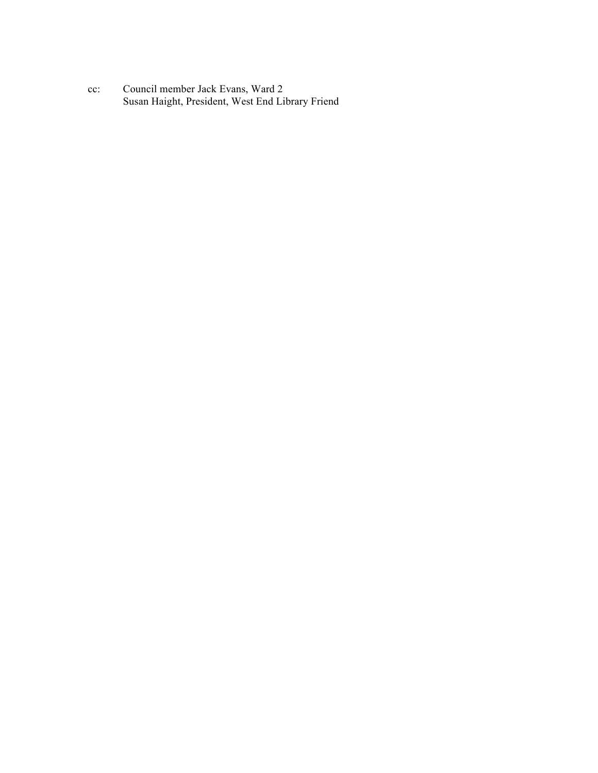cc: Council member Jack Evans, Ward 2 Susan Haight, President, West End Library Friend